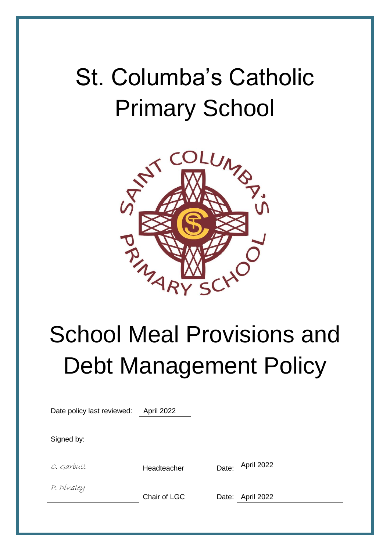# St. Columba's Catholic Primary School



# School Meal Provisions and Debt Management Policy

| Date policy last reviewed: | April 2022   |       |                  |
|----------------------------|--------------|-------|------------------|
| Signed by:                 |              |       |                  |
| C. Garbutt                 | Headteacher  | Date: | April 2022       |
| P. Dinsley                 | Chair of LGC |       | Date: April 2022 |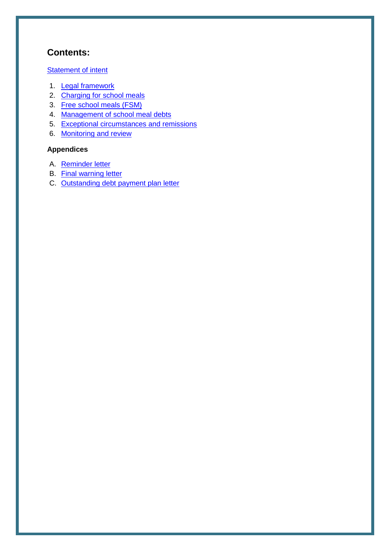## **Contents:**

#### **[Statement of intent](#page-2-0)**

- 1. [Legal framework](#page-3-0)
- 2. [Charging for school meals](#page-3-1)
- 3. [Free school meals](#page-3-2) (FSM)
- 4. [Management of school meal debts](#page-4-0)
- 5. [Exceptional circumstances and remissions](#page-5-0)
- 6. [Monitoring and review](#page-5-1)

#### **Appendices**

- A. [Reminder letter](#page-6-0)
- B. [Final warning letter](#page-7-0)
- C. [Outstanding debt payment plan letter](#page-8-0)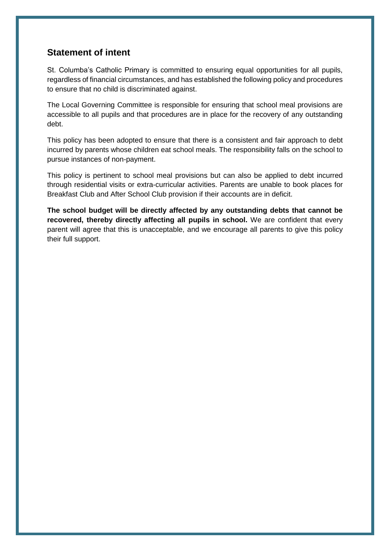### <span id="page-2-0"></span>**Statement of intent**

St. Columba's Catholic Primary is committed to ensuring equal opportunities for all pupils, regardless of financial circumstances, and has established the following policy and procedures to ensure that no child is discriminated against.

The Local Governing Committee is responsible for ensuring that school meal provisions are accessible to all pupils and that procedures are in place for the recovery of any outstanding debt.

This policy has been adopted to ensure that there is a consistent and fair approach to debt incurred by parents whose children eat school meals. The responsibility falls on the school to pursue instances of non-payment.

This policy is pertinent to school meal provisions but can also be applied to debt incurred through residential visits or extra-curricular activities. Parents are unable to book places for Breakfast Club and After School Club provision if their accounts are in deficit.

**The school budget will be directly affected by any outstanding debts that cannot be recovered, thereby directly affecting all pupils in school.** We are confident that every parent will agree that this is unacceptable, and we encourage all parents to give this policy their full support.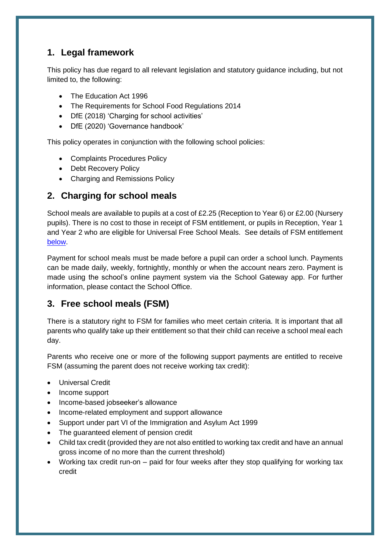## <span id="page-3-0"></span>**1. Legal framework**

This policy has due regard to all relevant legislation and statutory guidance including, but not limited to, the following:

- The Education Act 1996
- The Requirements for School Food Requlations 2014
- DfE (2018) 'Charging for school activities'
- DfE (2020) 'Governance handbook'

This policy operates in conjunction with the following school policies:

- Complaints Procedures Policy
- Debt Recovery Policy
- Charging and Remissions Policy

## <span id="page-3-1"></span>**2. Charging for school meals**

School meals are available to pupils at a cost of £2.25 (Reception to Year 6) or £2.00 (Nursery pupils). There is no cost to those in receipt of FSM entitlement, or pupils in Reception, Year 1 and Year 2 who are eligible for Universal Free School Meals. See details of FSM entitlement [below.](#page-3-2)

Payment for school meals must be made before a pupil can order a school lunch. Payments can be made daily, weekly, fortnightly, monthly or when the account nears zero. Payment is made using the school's online payment system via the School Gateway app. For further information, please contact the School Office.

### <span id="page-3-2"></span>**3. Free school meals (FSM)**

There is a statutory right to FSM for families who meet certain criteria. It is important that all parents who qualify take up their entitlement so that their child can receive a school meal each day.

Parents who receive one or more of the following support payments are entitled to receive FSM (assuming the parent does not receive working tax credit):

- Universal Credit
- Income support
- Income-based jobseeker's allowance
- Income-related employment and support allowance
- Support under part VI of the Immigration and Asylum Act 1999
- The guaranteed element of pension credit
- Child tax credit (provided they are not also entitled to working tax credit and have an annual gross income of no more than the current threshold)
- Working tax credit run-on paid for four weeks after they stop qualifying for working tax credit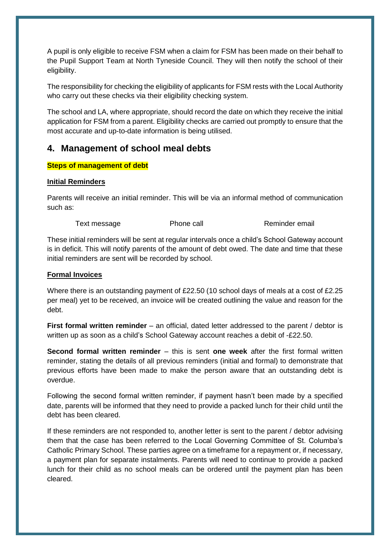A pupil is only eligible to receive FSM when a claim for FSM has been made on their behalf to the Pupil Support Team at North Tyneside Council. They will then notify the school of their eligibility.

The responsibility for checking the eligibility of applicants for FSM rests with the Local Authority who carry out these checks via their eligibility checking system.

The school and LA, where appropriate, should record the date on which they receive the initial application for FSM from a parent. Eligibility checks are carried out promptly to ensure that the most accurate and up-to-date information is being utilised.

#### <span id="page-4-0"></span>**4. Management of school meal debts**

#### **Steps of management of debt**

#### **Initial Reminders**

Parents will receive an initial reminder. This will be via an informal method of communication such as:

Text message Text message Phone call Reminder email

These initial reminders will be sent at regular intervals once a child's School Gateway account is in deficit. This will notify parents of the amount of debt owed. The date and time that these initial reminders are sent will be recorded by school.

#### **Formal Invoices**

Where there is an outstanding payment of £22.50 (10 school days of meals at a cost of £2.25 per meal) yet to be received, an invoice will be created outlining the value and reason for the debt.

**First formal written reminder** – an official, dated letter addressed to the parent / debtor is written up as soon as a child's School Gateway account reaches a debit of -£22.50.

**Second formal written reminder** – this is sent **one week** after the first formal written reminder, stating the details of all previous reminders (initial and formal) to demonstrate that previous efforts have been made to make the person aware that an outstanding debt is overdue.

Following the second formal written reminder, if payment hasn't been made by a specified date, parents will be informed that they need to provide a packed lunch for their child until the debt has been cleared.

If these reminders are not responded to, another letter is sent to the parent / debtor advising them that the case has been referred to the Local Governing Committee of St. Columba's Catholic Primary School. These parties agree on a timeframe for a repayment or, if necessary, a payment plan for separate instalments. Parents will need to continue to provide a packed lunch for their child as no school meals can be ordered until the payment plan has been cleared.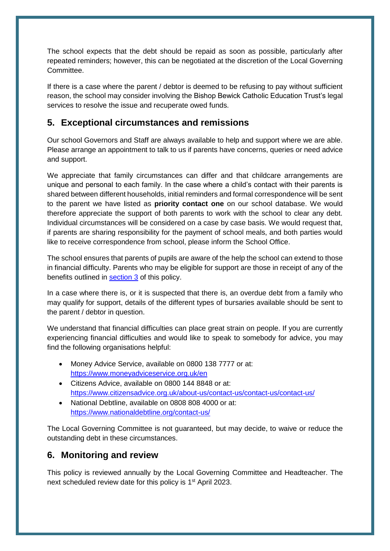The school expects that the debt should be repaid as soon as possible, particularly after repeated reminders; however, this can be negotiated at the discretion of the Local Governing **Committee.** 

If there is a case where the parent / debtor is deemed to be refusing to pay without sufficient reason, the school may consider involving the Bishop Bewick Catholic Education Trust's legal services to resolve the issue and recuperate owed funds.

## <span id="page-5-0"></span>**5. Exceptional circumstances and remissions**

Our school Governors and Staff are always available to help and support where we are able. Please arrange an appointment to talk to us if parents have concerns, queries or need advice and support.

We appreciate that family circumstances can differ and that childcare arrangements are unique and personal to each family. In the case where a child's contact with their parents is shared between different households, initial reminders and formal correspondence will be sent to the parent we have listed as **priority contact one** on our school database. We would therefore appreciate the support of both parents to work with the school to clear any debt. Individual circumstances will be considered on a case by case basis. We would request that, if parents are sharing responsibility for the payment of school meals, and both parties would like to receive correspondence from school, please inform the School Office.

The school ensures that parents of pupils are aware of the help the school can extend to those in financial difficulty. Parents who may be eligible for support are those in receipt of any of the benefits outlined in [section 3](#page-3-2) of this policy.

In a case where there is, or it is suspected that there is, an overdue debt from a family who may qualify for support, details of the different types of bursaries available should be sent to the parent / debtor in question.

We understand that financial difficulties can place great strain on people. If you are currently experiencing financial difficulties and would like to speak to somebody for advice, you may find the following organisations helpful:

- Money Advice Service, available on 0800 138 7777 or at: <https://www.moneyadviceservice.org.uk/en>
- Citizens Advice, available on 0800 144 8848 or at: <https://www.citizensadvice.org.uk/about-us/contact-us/contact-us/contact-us/>
- National Debtline, available on 0808 808 4000 or at: <https://www.nationaldebtline.org/contact-us/>

The Local Governing Committee is not guaranteed, but may decide, to waive or reduce the outstanding debt in these circumstances.

## <span id="page-5-1"></span>**6. Monitoring and review**

This policy is reviewed annually by the Local Governing Committee and Headteacher. The next scheduled review date for this policy is 1<sup>st</sup> April 2023.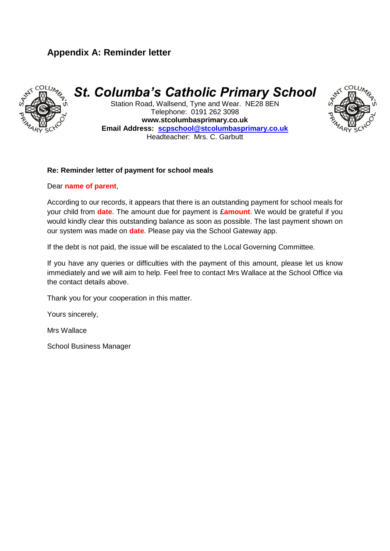## **Appendix A: Reminder letter**



<span id="page-6-0"></span>*St. Columba's Catholic Primary School*

Station Road, Wallsend, Tyne and Wear. NE28 8EN Telephone: 0191 262 3098 **www.stcolumbasprimary.co.uk Email Address: [scpschool@stcolumbasprimary.co.uk](mailto:scpschool@stcolumbasprimary.co.uk)** Headteacher: Mrs. C. Garbutt



#### **Re: Reminder letter of payment for school meals**

Dear **name of parent**,

According to our records, it appears that there is an outstanding payment for school meals for your child from **date**. The amount due for payment is £**amount**. We would be grateful if you would kindly clear this outstanding balance as soon as possible. The last payment shown on our system was made on **date**. Please pay via the School Gateway app.

If the debt is not paid, the issue will be escalated to the Local Governing Committee.

If you have any queries or difficulties with the payment of this amount, please let us know immediately and we will aim to help. Feel free to contact Mrs Wallace at the School Office via the contact details above.

Thank you for your cooperation in this matter.

Yours sincerely,

Mrs Wallace

School Business Manager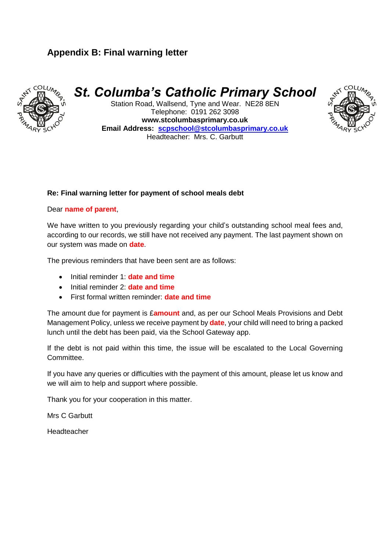## **Appendix B: Final warning letter**



## <span id="page-7-0"></span>*St. Columba's Catholic Primary School*

Station Road, Wallsend, Tyne and Wear. NE28 8EN Telephone: 0191 262 3098 **www.stcolumbasprimary.co.uk Email Address: [scpschool@stcolumbasprimary.co.uk](mailto:scpschool@stcolumbasprimary.co.uk)** Headteacher: Mrs. C. Garbutt



#### Dear **name of parent**,

We have written to you previously regarding your child's outstanding school meal fees and, according to our records, we still have not received any payment. The last payment shown on our system was made on **date**.

The previous reminders that have been sent are as follows:

- Initial reminder 1: **date and time**
- Initial reminder 2: **date and time**
- First formal written reminder: **date and time**

The amount due for payment is £**amount** and, as per our School Meals Provisions and Debt Management Policy, unless we receive payment by **date**, your child will need to bring a packed lunch until the debt has been paid, via the School Gateway app.

If the debt is not paid within this time, the issue will be escalated to the Local Governing Committee.

If you have any queries or difficulties with the payment of this amount, please let us know and we will aim to help and support where possible.

Thank you for your cooperation in this matter.

Mrs C Garbutt

Headteacher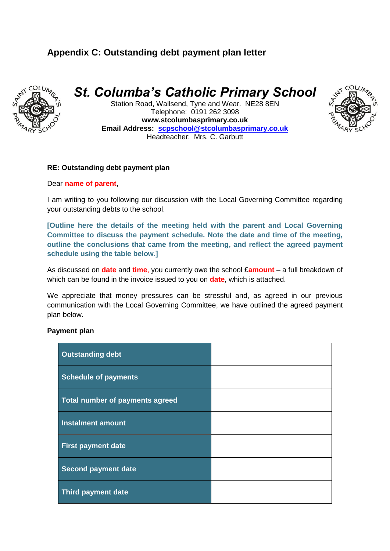## **Appendix C: Outstanding debt payment plan letter**



<span id="page-8-0"></span>*St. Columba's Catholic Primary School*

Station Road, Wallsend, Tyne and Wear. NE28 8EN Telephone: 0191 262 3098 **www.stcolumbasprimary.co.uk Email Address: [scpschool@stcolumbasprimary.co.uk](mailto:scpschool@stcolumbasprimary.co.uk)** Headteacher: Mrs. C. Garbutt



#### **RE: Outstanding debt payment plan**

#### Dear **name of parent**,

I am writing to you following our discussion with the Local Governing Committee regarding your outstanding debts to the school.

**[Outline here the details of the meeting held with the parent and Local Governing Committee to discuss the payment schedule. Note the date and time of the meeting, outline the conclusions that came from the meeting, and reflect the agreed payment schedule using the table below.]**

As discussed on **date** and **time**, you currently owe the school £**amount** – a full breakdown of which can be found in the invoice issued to you on **date**, which is attached.

We appreciate that money pressures can be stressful and, as agreed in our previous communication with the Local Governing Committee, we have outlined the agreed payment plan below.

#### **Payment plan**

| <b>Outstanding debt</b>         |  |
|---------------------------------|--|
| <b>Schedule of payments</b>     |  |
| Total number of payments agreed |  |
| <b>Instalment amount</b>        |  |
| <b>First payment date</b>       |  |
| <b>Second payment date</b>      |  |
| Third payment date              |  |